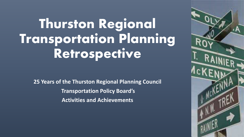# **Thurston Regional Transportation Planning Retrospective**

**25 Years of the Thurston Regional Planning Council Transportation Policy Board's Activities and Achievements**

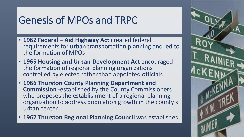### Genesis of MPOs and TRPC

- **1962 Federal – Aid Highway Act** created federal requirements for urban transportation planning and led to the formation of MPOs
- **1965 Housing and Urban Development Act** encouraged the formation of regional planning organizations controlled by elected rather than appointed officials
- **1966 Thurston County Planning Department and Commission** -established by the County Commissioners who proposes the establishment of a regional planning organization to address population growth in the county's urban center
- **1967 Thurston Regional Planning Council** was established

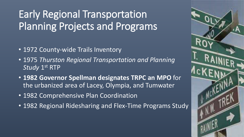# Early Regional Transportation Planning Projects and Programs

- 1972 County-wide Trails Inventory
- 1975 *Thurston Regional Transportation and Planning Study* 1<sup>st</sup> RTP
- **1982 Governor Spellman designates TRPC an MPO** for the urbanized area of Lacey, Olympia, and Tumwater
- 1982 Comprehensive Plan Coordination
- 1982 Regional Ridesharing and Flex-Time Programs Study

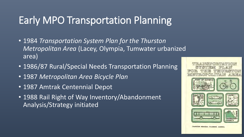### Early MPO Transportation Planning

- 1984 *Transportation System Plan for the Thurston Metropolitan Area* (Lacey, Olympia, Tumwater urbanized area)
- 1986/87 Rural/Special Needs Transportation Planning
- 1987 *Metropolitan Area Bicycle Plan*
- 1987 Amtrak Centennial Depot
- 1988 Rail Right of Way Inventory/Abandonment Analysis/Strategy initiated



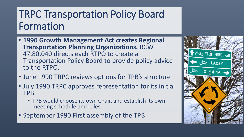# TRPC Transportation Policy Board Formation

- **1990 Growth Management Act creates Regional Transportation Planning Organizations.** RCW 47.80.040 directs each RTPO to create a Transportation Policy Board to provide policy advice to the RTPO.
- June 1990 TRPC reviews options for TPB's structure
- July 1990 TRPC approves representation for its initial TPB
	- TPB would choose its own Chair, and establish its own meeting schedule and rules
- September 1990 First assembly of the TPB

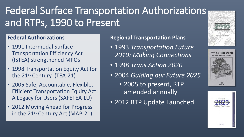# Federal Surface Transportation Authorizations and RTPs, 1990 to Present

#### **Federal Authorizations**

- 1991 Intermodal Surface Transportation Efficiency Act (ISTEA) strengthened MPOs
- 1998 Transportation Equity Act for the 21st Century (TEA-21)
- 2005 Safe, Accountable, Flexible, Efficient Transportation Equity Act: A Legacy for Users (SAFETEA-LU)
- 2012 Moving Ahead for Progress in the 21<sup>st</sup> Century Act (MAP-21)

#### **Regional Transportation Plans**

- 1993 *Transportation Future 2010: Making Connections*
- 1998 *Trans Action 2020*
- 2004 *Guiding our Future 2025*
	- 2005 to present, RTP amended annually
- 2012 RTP Update Launched





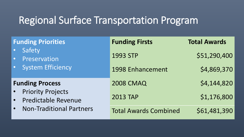### Regional Surface Transportation Program

| <b>Funding Priorities</b>                                                                 | <b>Funding Firsts</b>        | <b>Total Awards</b> |
|-------------------------------------------------------------------------------------------|------------------------------|---------------------|
| Safety<br>Preservation<br>$\bullet$ .                                                     | 1993 STP                     | \$51,290,400        |
| • System Efficiency                                                                       | 1998 Enhancement             | \$4,869,370         |
| <b>Funding Process</b>                                                                    | <b>2008 CMAQ</b>             | \$4,144,820         |
| <b>Priority Projects</b><br><b>Predictable Revenue</b><br><b>Non-Traditional Partners</b> | <b>2013 TAP</b>              | \$1,176,800         |
|                                                                                           | <b>Total Awards Combined</b> | \$61,481,390        |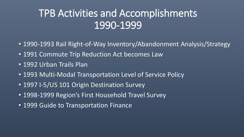### TPB Activities and Accomplishments 1990-1999

- 1990-1993 Rail Right-of-Way Inventory/Abandonment Analysis/Strategy
- 1991 Commute Trip Reduction Act becomes Law
- 1992 Urban Trails Plan
- 1993 Multi-Modal Transportation Level of Service Policy
- 1997 I-5/US 101 Origin Destination Survey
- 1998-1999 Region's First Household Travel Survey
- 1999 Guide to Transportation Finance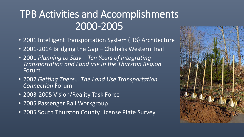# TPB Activities and Accomplishments 2000-2005

- 2001 Intelligent Transportation System (ITS) Architecture
- 2001-2014 Bridging the Gap Chehalis Western Trail
- 2001 *Planning to Stay – Ten Years of Integrating Transportation and Land use in the Thurston Region*  Forum
- 2002 *Getting There… The Land Use Transportation Connection* Forum
- 2003-2005 Vision/Reality Task Force
- 2005 Passenger Rail Workgroup
- 2005 South Thurston County License Plate Survey

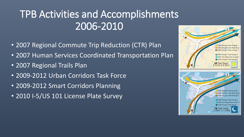# TPB Activities and Accomplishments 2006-2010

- 2007 Regional Commute Trip Reduction (CTR) Plan
- 2007 Human Services Coordinated Transportation Plan
- 2007 Regional Trails Plan
- 2009-2012 Urban Corridors Task Force
- 2009-2012 Smart Corridors Planning
- 2010 I-5/US 101 License Plate Survey